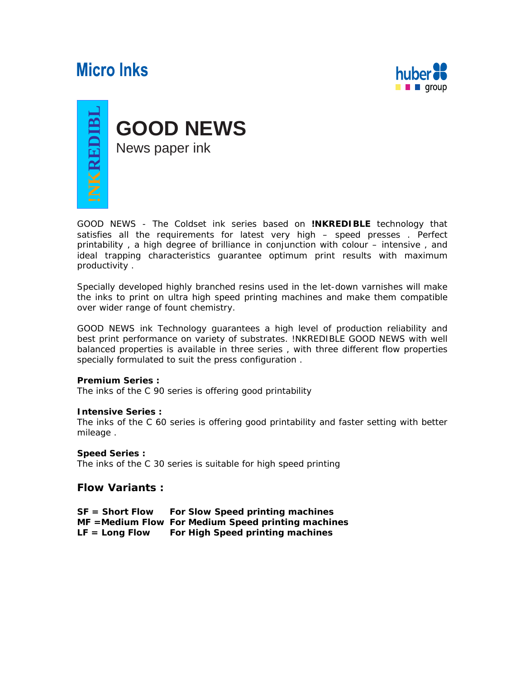# **Micro Inks**





GOOD NEWS - The Coldset ink series based on **!NKREDIBLE** technology that satisfies all the requirements for latest very high – speed presses . Perfect printability , a high degree of brilliance in conjunction with colour – intensive , and ideal trapping characteristics guarantee optimum print results with maximum productivity .

Specially developed highly branched resins used in the let-down varnishes will make the inks to print on ultra high speed printing machines and make them compatible over wider range of fount chemistry.

GOOD NEWS ink Technology guarantees a high level of production reliability and best print performance on variety of substrates. !NKREDIBLE GOOD NEWS with well balanced properties is available in three series , with three different flow properties specially formulated to suit the press configuration .

#### **Premium Series :**

The inks of the C 90 series is offering good printability

#### **Intensive Series :**

The inks of the C 60 series is offering good printability and faster setting with better mileage .

#### **Speed Series :**

The inks of the C 30 series is suitable for high speed printing

## **Flow Variants :**

**SF = Short Flow For Slow Speed printing machines MF =Medium Flow For Medium Speed printing machines**